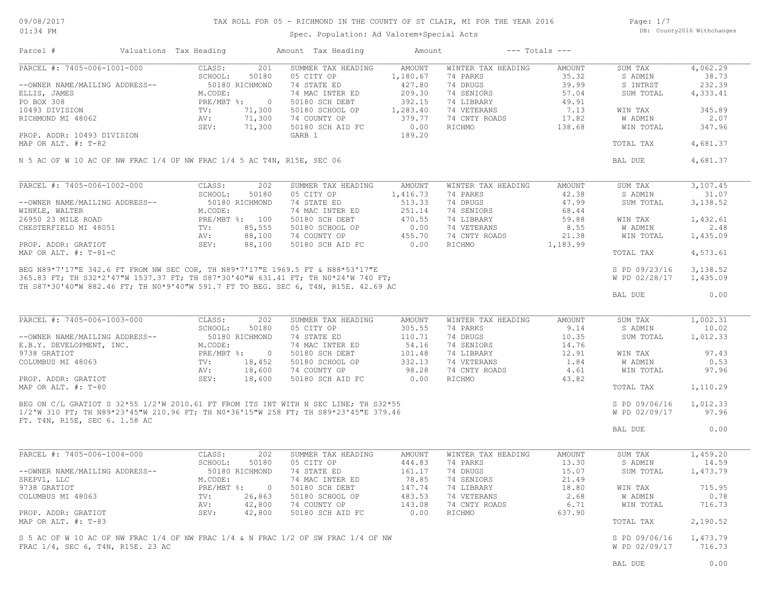# TAX ROLL FOR 05 - RICHMOND IN THE COUNTY OF ST CLAIR, MI FOR THE YEAR 2016

Spec. Population: Ad Valorem+Special Acts

Page: 1/7 DB: County2016 Withchanges

| Parcel #                                                                                                                                                                   | Valuations Tax Heading        |                          | Amount Tax Heading                                                                                                                                                                                                                      | Amount                    |                                | $---$ Totals $---$ |                                |                      |
|----------------------------------------------------------------------------------------------------------------------------------------------------------------------------|-------------------------------|--------------------------|-----------------------------------------------------------------------------------------------------------------------------------------------------------------------------------------------------------------------------------------|---------------------------|--------------------------------|--------------------|--------------------------------|----------------------|
| PARCEL #: 7405-006-1001-000                                                                                                                                                | CLASS:<br>SCHOOL:             | 201<br>50180             | SUMMER TAX HEADING<br>05 CITY OP                                                                                                                                                                                                        | <b>AMOUNT</b><br>1,180.67 | WINTER TAX HEADING<br>74 PARKS | AMOUNT<br>35.32    | SUM TAX<br>S ADMIN             | 4,062.29<br>38.73    |
| --OWNER NAME/MAILING ADDRESS--                                                                                                                                             | 50180 RICHMOND                |                          | 74 STATE ED                                                                                                                                                                                                                             | 427.80                    | 74 DRUGS                       | 39.99              | S INTRST                       | 232.39               |
| ELLIS, JAMES                                                                                                                                                               | M.CODE:                       |                          | 74 MAC INTER ED                                                                                                                                                                                                                         | 209.30                    | 74 SENIORS                     | 57.04              | SUM TOTAL                      | 4,333.41             |
| PO BOX 308                                                                                                                                                                 | $PRE/MBT$ %:                  | $\overline{\phantom{0}}$ | 50180 SCH DEBT                                                                                                                                                                                                                          | 392.15                    | 74 LIBRARY                     | 49.91              |                                |                      |
| 10493 DIVISION                                                                                                                                                             | $\text{TV}$ :                 | 71,300                   | 50180 SCHOOL OP                                                                                                                                                                                                                         | 1,283.40                  | 74 VETERANS                    | 7.13               | WIN TAX                        | 345.89               |
| RICHMOND MI 48062                                                                                                                                                          | AV:                           | 71,300                   | 74 COUNTY OP                                                                                                                                                                                                                            | 379.77                    | 74 CNTY ROADS                  | 17.82              | W ADMIN                        | 2.07                 |
|                                                                                                                                                                            | SEV:                          | 71,300                   | 50180 SCH AID FC                                                                                                                                                                                                                        | 0.00                      | RICHMO                         | 138.68             | WIN TOTAL                      | 347.96               |
| PROP. ADDR: 10493 DIVISION<br>MAP OR ALT. #: T-82                                                                                                                          |                               |                          | GARB 1                                                                                                                                                                                                                                  | 189.20                    |                                |                    | TOTAL TAX                      | 4,681.37             |
| N 5 AC OF W 10 AC OF NW FRAC 1/4 OF NW FRAC 1/4 5 AC T4N, R15E, SEC 06                                                                                                     |                               |                          |                                                                                                                                                                                                                                         |                           |                                |                    | BAL DUE                        | 4,681.37             |
|                                                                                                                                                                            |                               |                          |                                                                                                                                                                                                                                         |                           |                                |                    |                                |                      |
| PARCEL #: 7405-006-1002-000                                                                                                                                                | CLASS:                        | 202                      | SUMMER TAX HEADING                                                                                                                                                                                                                      | <b>AMOUNT</b>             | WINTER TAX HEADING             | AMOUNT             | SUM TAX                        | 3,107.45             |
|                                                                                                                                                                            | SCHOOL:                       | 50180                    | 05 CITY OP                                                                                                                                                                                                                              | 1,416.73                  | 74 PARKS                       | 42.38              | S ADMIN                        | 31.07                |
| --OWNER NAME/MAILING ADDRESS--                                                                                                                                             | 50180 RICHMOND                |                          | 74 STATE ED                                                                                                                                                                                                                             | 513.33                    | 74 DRUGS                       | 47.99              | SUM TOTAL                      | 3,138.52             |
| WINKLE, WALTER                                                                                                                                                             | M.CODE:                       |                          | 74 MAC INTER ED                                                                                                                                                                                                                         | 251.14                    | 74 SENIORS                     | 68.44              |                                |                      |
| 26950 23 MILE ROAD                                                                                                                                                         | PRE/MBT %: 100                |                          | 50180 SCH DEBT                                                                                                                                                                                                                          | 470.55                    | 74 LIBRARY                     | 59.88              | WIN TAX                        | 1,432.61             |
| CHESTERFIELD MI 48051                                                                                                                                                      | $\texttt{TV}$ :               | 85,555                   | 50180 SCHOOL OP                                                                                                                                                                                                                         | 0.00                      | 74 VETERANS                    | 8.55               | W ADMIN                        | 2.48                 |
| PROP. ADDR: GRATIOT                                                                                                                                                        | AV:<br>SEV:                   | 88,100<br>88,100         | 74 COUNTY OP<br>50180 SCH AID FC                                                                                                                                                                                                        | 455.70<br>0.00            | 74 CNTY ROADS<br>RICHMO        | 21.38<br>1,183.99  | WIN TOTAL                      | 1,435.09             |
| MAP OR ALT. #: T-81-C                                                                                                                                                      |                               |                          |                                                                                                                                                                                                                                         |                           |                                |                    | TOTAL TAX                      | 4,573.61             |
|                                                                                                                                                                            |                               |                          | MAP OK ALT. #: 1-01-0<br>BEG N89*7'17"E 342.6 FT FROM NW SEC COR, TH N89*7'17"E 1969.5 FT & N88*53'17"E<br>365.83 FT; TH S32*2'47"W 1537.37 FT; TH S87*30'40"W 631.41 FT; TH N0*24'W 740 FT;<br>365.83 FT; TH S32*2'47"W 1537.37 FT; TH |                           |                                |                    |                                |                      |
|                                                                                                                                                                            |                               |                          |                                                                                                                                                                                                                                         |                           |                                |                    | S PD 09/23/16<br>W PD 02/28/17 | 3,138.52<br>1,435.09 |
|                                                                                                                                                                            |                               |                          |                                                                                                                                                                                                                                         |                           |                                |                    |                                |                      |
|                                                                                                                                                                            |                               |                          |                                                                                                                                                                                                                                         |                           |                                |                    | BAL DUE                        | 0.00                 |
| PARCEL #: 7405-006-1003-000                                                                                                                                                | CLASS:                        | 202                      | SUMMER TAX HEADING                                                                                                                                                                                                                      | AMOUNT                    | WINTER TAX HEADING             | AMOUNT             | SUM TAX                        | 1,002.31             |
|                                                                                                                                                                            | SCHOOL:                       | 50180                    | 05 CITY OP                                                                                                                                                                                                                              | 305.55                    | 74 PARKS                       | 9.14               | S ADMIN                        | 10.02                |
| --OWNER NAME/MAILING ADDRESS--                                                                                                                                             | 50180 RICHMOND                |                          | 74 STATE ED                                                                                                                                                                                                                             | 110.71                    | 74 DRUGS                       | 10.35              | SUM TOTAL                      | 1,012.33             |
| E.B.Y. DEVELOPMENT, INC.<br>9738 GRATIOT                                                                                                                                   | M.CODE:<br>$PRE/MBT$ $\div$ 0 |                          | 74 MAC INTER ED                                                                                                                                                                                                                         | 54.16<br>101.48           | 74 SENIORS<br>74 LIBRARY       | 14.76<br>12.91     |                                | 97.43                |
| COLUMBUS MI 48063                                                                                                                                                          | TV:                           | 18,452                   | 50180 SCH DEBT<br>50180 SCHOOL OP                                                                                                                                                                                                       | 332.13                    | 74 VETERANS                    | 1.84               | WIN TAX<br>W ADMIN             | 0.53                 |
|                                                                                                                                                                            | AV:                           | 18,600                   | 74 COUNTY OP                                                                                                                                                                                                                            | 98.28                     | 74 CNTY ROADS                  | 4.61               | WIN TOTAL                      | 97.96                |
| PROP. ADDR: GRATIOT                                                                                                                                                        | SEV:                          | 18,600                   | 50180 SCH AID FC                                                                                                                                                                                                                        | 0.00                      | RICHMO                         | 43.82              |                                |                      |
| MAP OR ALT. #: T-80                                                                                                                                                        |                               |                          |                                                                                                                                                                                                                                         |                           |                                |                    | TOTAL TAX                      | 1,110.29             |
| BEG ON C/L GRATIOT S 32*55 1/2'W 2010.61 FT FROM ITS INT WITH N SEC LINE; TH S32*55<br>1/3'W 319 Pm: mu N90+23'45"W 210 96 RT: TH N0*36'15"W 258 RT: TH S89*23'45"E 379.46 |                               |                          |                                                                                                                                                                                                                                         |                           |                                |                    | S PD 09/06/16                  | 1,012.33             |
|                                                                                                                                                                            |                               |                          | 1/2'W 310 FT; TH N89*23'45"W 210.96 FT; TH N0*36'15"W 258 FT; TH S89*23'45"E 379.46                                                                                                                                                     |                           |                                |                    | W PD 02/09/17                  | 97.96                |
| FT. T4N, R15E, SEC 6. 1.58 AC                                                                                                                                              |                               |                          |                                                                                                                                                                                                                                         |                           |                                |                    | BAL DUE                        | 0.00                 |
|                                                                                                                                                                            |                               |                          |                                                                                                                                                                                                                                         |                           |                                |                    |                                |                      |
| PARCEL #: 7405-006-1004-000                                                                                                                                                | CLASS:                        | 202                      | SUMMER TAX HEADING                                                                                                                                                                                                                      | AMOUNT                    | WINTER TAX HEADING             | AMOUNT             | SUM TAX                        | 1,459.20             |
|                                                                                                                                                                            | SCHOOL:                       | 50180                    | 05 CITY OP                                                                                                                                                                                                                              | 444.83                    | 74 PARKS                       | 13.30              | S ADMIN                        | 14.59                |
| --OWNER NAME/MAILING ADDRESS--                                                                                                                                             | 50180 RICHMOND                |                          | 74 STATE ED                                                                                                                                                                                                                             | 161.17                    | 74 DRUGS                       | 15.07              | SUM TOTAL                      | 1,473.79             |
| SREPV1, LLC                                                                                                                                                                | M.CODE:                       |                          | 74 MAC INTER ED                                                                                                                                                                                                                         | 78.85                     | 74 SENIORS                     | 21.49              |                                |                      |
| 9738 GRATIOT                                                                                                                                                               | $PRE/MBT$ $\div$              | $\overline{0}$           | 50180 SCH DEBT                                                                                                                                                                                                                          | 147.74                    | 74 LIBRARY                     | 18.80              | WIN TAX                        | 715.95               |
| COLUMBUS MI 48063                                                                                                                                                          | TV:                           | 26,863                   | 50180 SCHOOL OP                                                                                                                                                                                                                         | 483.53                    | 74 VETERANS                    | 2.68               | W ADMIN                        | 0.78                 |
| PROP. ADDR: GRATIOT                                                                                                                                                        | AV:<br>SEV:                   | 42,800<br>42,800         | 74 COUNTY OP<br>50180 SCH AID FC                                                                                                                                                                                                        | 143.08<br>0.00            | 74 CNTY ROADS<br>RICHMO        | 6.71<br>637.90     | WIN TOTAL                      | 716.73               |
| MAP OR ALT. $\#$ : T-83                                                                                                                                                    |                               |                          |                                                                                                                                                                                                                                         |                           |                                |                    | TOTAL TAX                      | 2,190.52             |
|                                                                                                                                                                            |                               |                          |                                                                                                                                                                                                                                         |                           |                                |                    |                                |                      |
| S 5 AC OF W 10 AC OF NW FRAC 1/4 OF NW FRAC 1/4 & N FRAC 1/2 OF SW FRAC 1/4 OF NW                                                                                          |                               |                          |                                                                                                                                                                                                                                         |                           |                                |                    | S PD 09/06/16                  | 1,473.79             |
| FRAC 1/4, SEC 6, T4N, R15E, 23 AC                                                                                                                                          |                               |                          |                                                                                                                                                                                                                                         |                           |                                |                    | W PD 02/09/17                  | 716.73               |
|                                                                                                                                                                            |                               |                          |                                                                                                                                                                                                                                         |                           |                                |                    | BAL DUE                        | 0.00                 |
|                                                                                                                                                                            |                               |                          |                                                                                                                                                                                                                                         |                           |                                |                    |                                |                      |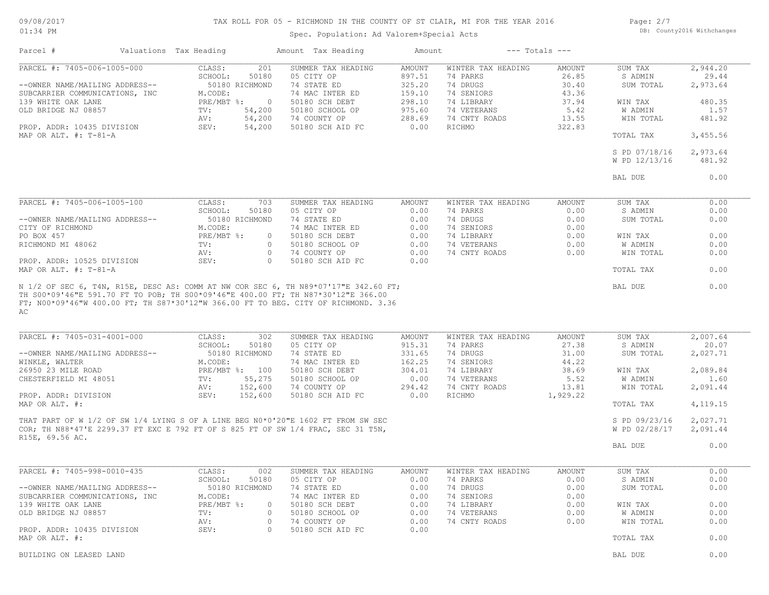### 09/08/2017 01:34 PM

# TAX ROLL FOR 05 - RICHMOND IN THE COUNTY OF ST CLAIR, MI FOR THE YEAR 2016

Spec. Population: Ad Valorem+Special Acts

Page: 2/7 DB: County2016 Withchanges

| Parcel #                                             | Valuations Tax Heading |                                         | Amount Tax Heading                                                               | Amount                  |                                | $---$ Totals $---$ |                      |                   |
|------------------------------------------------------|------------------------|-----------------------------------------|----------------------------------------------------------------------------------|-------------------------|--------------------------------|--------------------|----------------------|-------------------|
| PARCEL #: 7405-006-1005-000                          |                        | CLASS:<br>201<br>SCHOOL:<br>50180       | SUMMER TAX HEADING<br>05 CITY OP                                                 | <b>AMOUNT</b><br>897.51 | WINTER TAX HEADING<br>74 PARKS | AMOUNT<br>26.85    | SUM TAX<br>S ADMIN   | 2,944.20<br>29.44 |
| --OWNER NAME/MAILING ADDRESS--                       |                        | 50180 RICHMOND                          | 74 STATE ED                                                                      | 325.20                  | 74 DRUGS                       | 30.40              | SUM TOTAL            | 2,973.64          |
| SUBCARRIER COMMUNICATIONS, INC<br>139 WHITE OAK LANE |                        | M.CODE:<br>PRE/MBT %:<br>$\overline{0}$ | 74 MAC INTER ED<br>50180 SCH DEBT                                                | 159.10<br>298.10        | 74 SENIORS<br>74 LIBRARY       | 43.36<br>37.94     | WIN TAX              | 480.35            |
| OLD BRIDGE NJ 08857                                  |                        | 54,200<br>TV:                           | 50180 SCHOOL OP                                                                  | 975.60                  | 74 VETERANS                    | 5.42               | W ADMIN              | 1.57              |
|                                                      |                        | 54,200<br>AV:                           | 74 COUNTY OP                                                                     | 288.69                  | 74 CNTY ROADS                  | 13.55              | WIN TOTAL            | 481.92            |
| PROP. ADDR: 10435 DIVISION                           |                        | 54,200<br>SEV:                          | 50180 SCH AID FC                                                                 | 0.00                    | RICHMO                         | 322.83             |                      |                   |
| MAP OR ALT. $\#$ : T-81-A                            |                        |                                         |                                                                                  |                         |                                |                    | TOTAL TAX            | 3,455.56          |
|                                                      |                        |                                         |                                                                                  |                         |                                |                    | S PD 07/18/16        | 2,973.64          |
|                                                      |                        |                                         |                                                                                  |                         |                                |                    | W PD 12/13/16        | 481.92            |
|                                                      |                        |                                         |                                                                                  |                         |                                |                    | BAL DUE              | 0.00              |
| PARCEL #: 7405-006-1005-100                          |                        | CLASS:<br>703                           | SUMMER TAX HEADING                                                               | AMOUNT                  | WINTER TAX HEADING             | AMOUNT             | SUM TAX              | 0.00              |
|                                                      |                        | SCHOOL:<br>50180                        | 05 CITY OP                                                                       | 0.00                    | 74 PARKS                       | 0.00               | S ADMIN              | 0.00              |
| --OWNER NAME/MAILING ADDRESS--                       |                        | 50180 RICHMOND                          | 74 STATE ED                                                                      | 0.00                    | 74 DRUGS                       | 0.00               | SUM TOTAL            | 0.00              |
| CITY OF RICHMOND                                     |                        | M.CODE:                                 | 74 MAC INTER ED                                                                  | 0.00                    | 74 SENIORS                     | 0.00               |                      |                   |
| PO BOX 457                                           |                        | $PRE/MBT$ $\div$                        | 50180 SCH DEBT<br>$\circ$                                                        | 0.00                    | 74 LIBRARY                     | 0.00               | WIN TAX              | 0.00              |
| RICHMOND MI 48062                                    |                        | TV:                                     | $\circ$<br>50180 SCHOOL OP                                                       | 0.00                    | 74 VETERANS                    | 0.00               | W ADMIN              | 0.00              |
|                                                      |                        | AV:                                     | 74 COUNTY OP<br>$\circ$                                                          | 0.00                    | 74 CNTY ROADS                  | 0.00               | WIN TOTAL            | 0.00              |
| PROP. ADDR: 10525 DIVISION<br>MAP OR ALT. #: T-81-A  |                        | SEV:                                    | $\Omega$<br>50180 SCH AID FC                                                     | 0.00                    |                                |                    | TOTAL TAX            | 0.00              |
| АC                                                   |                        |                                         |                                                                                  |                         |                                |                    |                      |                   |
| PARCEL #: 7405-031-4001-000                          |                        | CLASS:<br>302                           | SUMMER TAX HEADING                                                               | <b>AMOUNT</b>           | WINTER TAX HEADING             | AMOUNT             | SUM TAX              | 2,007.64          |
| --OWNER NAME/MAILING ADDRESS--                       |                        | SCHOOL:<br>50180<br>50180 RICHMOND      | 05 CITY OP<br>74 STATE ED                                                        | 915.31<br>331.65        | 74 PARKS<br>74 DRUGS           | 27.38<br>31.00     | S ADMIN<br>SUM TOTAL | 20.07<br>2,027.71 |
| WINKLE, WALTER                                       |                        | M.CODE:                                 | 74 MAC INTER ED                                                                  | 162.25                  | 74 SENIORS                     | 44.22              |                      |                   |
| 26950 23 MILE ROAD                                   |                        | PRE/MBT %: 100                          | 50180 SCH DEBT                                                                   | 304.01                  | 74 LIBRARY                     | 38.69              | WIN TAX              | 2,089.84          |
| CHESTERFIELD MI 48051                                |                        | TV:<br>55,275                           | 50180 SCHOOL OP                                                                  | 0.00                    | 74 VETERANS                    | 5.52               | W ADMIN              | 1.60              |
|                                                      |                        | 152,600<br>AV:                          | 74 COUNTY OP                                                                     | 294.42                  | 74 CNTY ROADS                  | 13.81              | WIN TOTAL            | 2,091.44          |
| PROP. ADDR: DIVISION<br>MAP OR ALT. #:               |                        | 152,600<br>SEV:                         | 50180 SCH AID FC                                                                 | 0.00                    | RICHMO                         | 1,929.22           | TOTAL TAX            | 4, 119. 15        |
|                                                      |                        |                                         |                                                                                  |                         |                                |                    |                      |                   |
|                                                      |                        |                                         | THAT PART OF W 1/2 OF SW 1/4 LYING S OF A LINE BEG N0*0'20"E 1602 FT FROM SW SEC |                         |                                |                    | S PD 09/23/16        | 2,027.71          |
| R15E, 69.56 AC.                                      |                        |                                         | COR; TH N88*47'E 2299.37 FT EXC E 792 FT OF S 825 FT OF SW 1/4 FRAC, SEC 31 T5N, |                         |                                |                    | W PD 02/28/17        | 2,091.44          |
|                                                      |                        |                                         |                                                                                  |                         |                                |                    | BAL DUE              | 0.00              |
|                                                      |                        |                                         |                                                                                  |                         |                                |                    |                      |                   |
| PARCEL #: 7405-998-0010-435                          |                        | 002<br>CLASS:                           | SUMMER TAX HEADING                                                               | AMOUNT                  | WINTER TAX HEADING             | AMOUNT             | SUM TAX              | 0.00              |
|                                                      |                        | SCHOOL:<br>50180                        | 05 CITY OP                                                                       | 0.00                    | 74 PARKS                       | 0.00               | S ADMIN              | 0.00              |
| --OWNER NAME/MAILING ADDRESS--                       |                        | 50180 RICHMOND                          | 74 STATE ED                                                                      | 0.00                    | 74 DRUGS                       | 0.00               | SUM TOTAL            | 0.00              |
| SUBCARRIER COMMUNICATIONS, INC<br>139 WHITE OAK LANE |                        | M.CODE:<br>$PRE/MBT$ $\frac{1}{6}$ :    | 74 MAC INTER ED<br>50180 SCH DEBT<br>$\overline{0}$                              | 0.00<br>0.00            | 74 SENIORS<br>74 LIBRARY       | 0.00<br>0.00       | WIN TAX              | 0.00              |
| OLD BRIDGE NJ 08857                                  |                        | TV:                                     | 50180 SCHOOL OP<br>$\circ$                                                       | 0.00                    | 74 VETERANS                    | 0.00               | W ADMIN              | 0.00              |
|                                                      |                        | AV:                                     | 74 COUNTY OP<br>$\circ$                                                          | 0.00                    | 74 CNTY ROADS                  | 0.00               | WIN TOTAL            | 0.00              |
| PROP. ADDR: 10435 DIVISION                           |                        | SEV:                                    | 50180 SCH AID FC<br>$\circ$                                                      | 0.00                    |                                |                    |                      |                   |
| MAP OR ALT. #:                                       |                        |                                         |                                                                                  |                         |                                |                    | TOTAL TAX            | 0.00              |
| BUILDING ON LEASED LAND                              |                        |                                         |                                                                                  |                         |                                |                    | BAL DUE              | 0.00              |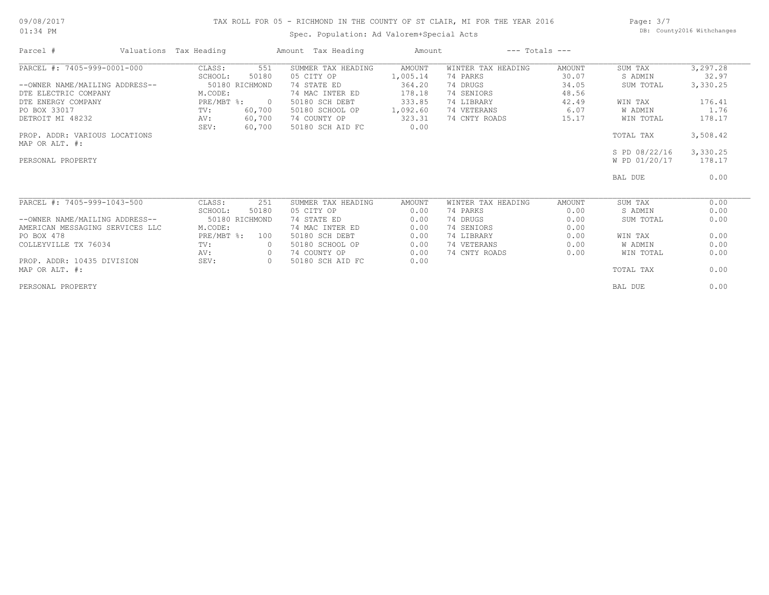### 09/08/2017 01:34 PM

# TAX ROLL FOR 05 - RICHMOND IN THE COUNTY OF ST CLAIR, MI FOR THE YEAR 2016

Spec. Population: Ad Valorem+Special Acts

Page: 3/7 DB: County2016 Withchanges

| Parcel #                        | Valuations Tax Heading |                  | Amount Tax Heading               | Amount         |                    | $---$ Totals $---$ |               |          |
|---------------------------------|------------------------|------------------|----------------------------------|----------------|--------------------|--------------------|---------------|----------|
| PARCEL #: 7405-999-0001-000     | CLASS:                 | 551              | SUMMER TAX HEADING               | AMOUNT         | WINTER TAX HEADING | AMOUNT             | SUM TAX       | 3,297.28 |
|                                 | SCHOOL:                | 50180            | 05 CITY OP                       | 1,005.14       | 74 PARKS           | 30.07              | S ADMIN       | 32.97    |
| --OWNER NAME/MAILING ADDRESS--  |                        | 50180 RICHMOND   | 74 STATE ED                      | 364.20         | 74 DRUGS           | 34.05              | SUM TOTAL     | 3,330.25 |
| DTE ELECTRIC COMPANY            | M.CODE:                |                  | 74 MAC INTER ED                  | 178.18         | 74 SENIORS         | 48.56              |               |          |
| DTE ENERGY COMPANY              | $PRE/MBT$ %:           | $\overline{0}$   | 50180 SCH DEBT                   | 333.85         | 74 LIBRARY         | 42.49              | WIN TAX       | 176.41   |
| PO BOX 33017                    | TV:                    | 60,700           | 50180 SCHOOL OP                  | 1,092.60       | 74 VETERANS        | 6.07               | W ADMIN       | 1.76     |
| DETROIT MI 48232                | AV:<br>SEV:            | 60,700<br>60,700 | 74 COUNTY OP<br>50180 SCH AID FC | 323.31<br>0.00 | 74 CNTY ROADS      | 15.17              | WIN TOTAL     | 178.17   |
| PROP. ADDR: VARIOUS LOCATIONS   |                        |                  |                                  |                |                    |                    | TOTAL TAX     | 3,508.42 |
| MAP OR ALT. #:                  |                        |                  |                                  |                |                    |                    |               |          |
|                                 |                        |                  |                                  |                |                    |                    | S PD 08/22/16 | 3,330.25 |
| PERSONAL PROPERTY               |                        |                  |                                  |                |                    |                    | W PD 01/20/17 | 178.17   |
|                                 |                        |                  |                                  |                |                    |                    | BAL DUE       | 0.00     |
| PARCEL #: 7405-999-1043-500     | CLASS:                 | 251              | SUMMER TAX HEADING               | AMOUNT         | WINTER TAX HEADING | AMOUNT             | SUM TAX       | 0.00     |
|                                 | SCHOOL:                | 50180            | 05 CITY OP                       | 0.00           | 74 PARKS           | 0.00               | S ADMIN       | 0.00     |
| --OWNER NAME/MAILING ADDRESS--  |                        | 50180 RICHMOND   | 74 STATE ED                      | 0.00           | 74 DRUGS           | 0.00               | SUM TOTAL     | 0.00     |
| AMERICAN MESSAGING SERVICES LLC | M.CODE:                |                  | 74 MAC INTER ED                  | 0.00           | 74 SENIORS         | 0.00               |               |          |
| PO BOX 478                      | PRE/MBT %:             | 100              | 50180 SCH DEBT                   | 0.00           | 74 LIBRARY         | 0.00               | WIN TAX       | 0.00     |
| COLLEYVILLE TX 76034            | TV:                    |                  | 50180 SCHOOL OP                  | 0.00           | 74 VETERANS        | 0.00               | W ADMIN       | 0.00     |
|                                 | AV:                    | $\circ$          | 74 COUNTY OP                     | 0.00           | 74 CNTY ROADS      | 0.00               | WIN TOTAL     | 0.00     |
| PROP. ADDR: 10435 DIVISION      | SEV:                   | $\circ$          | 50180 SCH AID FC                 | 0.00           |                    |                    |               |          |
| MAP OR ALT. #:                  |                        |                  |                                  |                |                    |                    | TOTAL TAX     | 0.00     |
| PERSONAL PROPERTY               |                        |                  |                                  |                |                    |                    | BAL DUE       | 0.00     |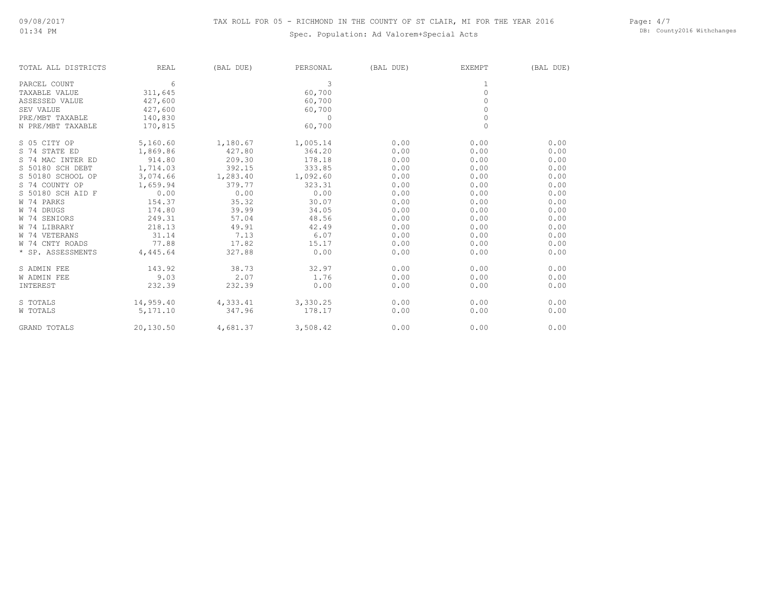Page: 4/7 DB: County2016 Withchanges

| TOTAL ALL DISTRICTS | REAL      | (BAL DUE) | PERSONAL | (BAL DUE) | EXEMPT      | (BAL DUE) |
|---------------------|-----------|-----------|----------|-----------|-------------|-----------|
| PARCEL COUNT        | 6         |           | 3        |           |             |           |
| TAXABLE VALUE       | 311,645   |           | 60,700   |           | $\mathbb O$ |           |
| ASSESSED VALUE      | 427,600   |           | 60,700   |           | $\Omega$    |           |
| SEV VALUE           | 427,600   |           | 60,700   |           | $\Omega$    |           |
| PRE/MBT TAXABLE     | 140,830   |           | $\Omega$ |           | $\circ$     |           |
| N PRE/MBT TAXABLE   | 170,815   |           | 60,700   |           | $\Omega$    |           |
| S 05 CITY OP        | 5,160.60  | 1,180.67  | 1,005.14 | 0.00      | 0.00        | 0.00      |
| S 74 STATE ED       | 1,869.86  | 427.80    | 364.20   | 0.00      | 0.00        | 0.00      |
| S 74 MAC INTER ED   | 914.80    | 209.30    | 178.18   | 0.00      | 0.00        | 0.00      |
| S 50180 SCH DEBT    | 1,714.03  | 392.15    | 333.85   | 0.00      | 0.00        | 0.00      |
| S 50180 SCHOOL OP   | 3,074.66  | 1,283.40  | 1,092.60 | 0.00      | 0.00        | 0.00      |
| S 74 COUNTY OP      | 1,659.94  | 379.77    | 323.31   | 0.00      | 0.00        | 0.00      |
| S 50180 SCH AID F   | 0.00      | 0.00      | 0.00     | 0.00      | 0.00        | 0.00      |
| W 74 PARKS          | 154.37    | 35.32     | 30.07    | 0.00      | 0.00        | 0.00      |
| W 74 DRUGS          | 174.80    | 39.99     | 34.05    | 0.00      | 0.00        | 0.00      |
| W 74 SENIORS        | 249.31    | 57.04     | 48.56    | 0.00      | 0.00        | 0.00      |
| W 74 LIBRARY        | 218.13    | 49.91     | 42.49    | 0.00      | 0.00        | 0.00      |
| W 74 VETERANS       | 31.14     | 7.13      | 6.07     | 0.00      | 0.00        | 0.00      |
| W 74 CNTY ROADS     | 77.88     | 17.82     | 15.17    | 0.00      | 0.00        | 0.00      |
| * SP. ASSESSMENTS   | 4,445.64  | 327.88    | 0.00     | 0.00      | 0.00        | 0.00      |
| S ADMIN FEE         | 143.92    | 38.73     | 32.97    | 0.00      | 0.00        | 0.00      |
| <b>W ADMIN FEE</b>  | 9.03      | 2.07      | 1.76     | 0.00      | 0.00        | 0.00      |
| INTEREST            | 232.39    | 232.39    | 0.00     | 0.00      | 0.00        | 0.00      |
| S TOTALS            | 14,959.40 | 4,333.41  | 3,330.25 | 0.00      | 0.00        | 0.00      |
| W TOTALS            | 5,171.10  | 347.96    | 178.17   | 0.00      | 0.00        | 0.00      |
| <b>GRAND TOTALS</b> | 20,130.50 | 4,681.37  | 3,508.42 | 0.00      | 0.00        | 0.00      |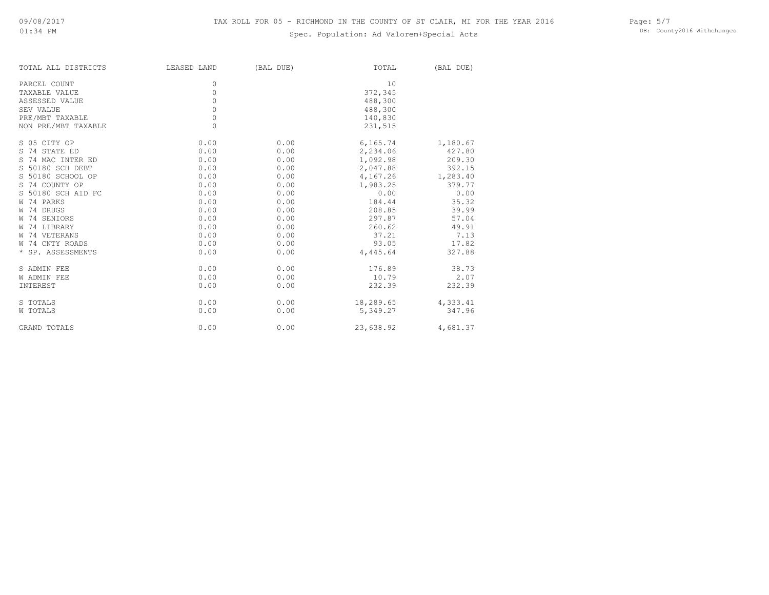| TOTAL ALL DISTRICTS | LEASED LAND | (BAL DUE) | TOTAL     | (BAL DUE) |
|---------------------|-------------|-----------|-----------|-----------|
| PARCEL COUNT        | 0           |           | 10        |           |
| TAXABLE VALUE       | $\circ$     |           | 372,345   |           |
| ASSESSED VALUE      | $\circ$     |           | 488,300   |           |
| SEV VALUE           | 0           |           | 488,300   |           |
| PRE/MBT TAXABLE     | $\circ$     |           | 140,830   |           |
| NON PRE/MBT TAXABLE | $\circ$     |           | 231,515   |           |
| S 05 CITY OP        | 0.00        | 0.00      | 6,165.74  | 1,180.67  |
| S 74 STATE ED       | 0.00        | 0.00      | 2,234.06  | 427.80    |
| S 74 MAC INTER ED   | 0.00        | 0.00      | 1,092.98  | 209.30    |
| S 50180 SCH DEBT    | 0.00        | 0.00      | 2,047.88  | 392.15    |
| S 50180 SCHOOL OP   | 0.00        | 0.00      | 4,167.26  | 1,283.40  |
| S 74 COUNTY OP      | 0.00        | 0.00      | 1,983.25  | 379.77    |
| S 50180 SCH AID FC  | 0.00        | 0.00      | 0.00      | 0.00      |
| W 74 PARKS          | 0.00        | 0.00      | 184.44    | 35.32     |
| W 74 DRUGS          | 0.00        | 0.00      | 208.85    | 39.99     |
| W 74 SENIORS        | 0.00        | 0.00      | 297.87    | 57.04     |
| W 74 LIBRARY        | 0.00        | 0.00      | 260.62    | 49.91     |
| W 74 VETERANS       | 0.00        | 0.00      | 37.21     | 7.13      |
| W 74 CNTY ROADS     | 0.00        | 0.00      | 93.05     | 17.82     |
| * SP. ASSESSMENTS   | 0.00        | 0.00      | 4,445.64  | 327.88    |
| S ADMIN FEE         | 0.00        | 0.00      | 176.89    | 38.73     |
| <b>W ADMIN FEE</b>  | 0.00        | 0.00      | 10.79     | 2.07      |
| INTEREST            | 0.00        | 0.00      | 232.39    | 232.39    |
| S TOTALS            | 0.00        | 0.00      | 18,289.65 | 4,333.41  |
| W TOTALS            | 0.00        | 0.00      | 5,349.27  | 347.96    |
| <b>GRAND TOTALS</b> | 0.00        | 0.00      | 23,638.92 | 4,681.37  |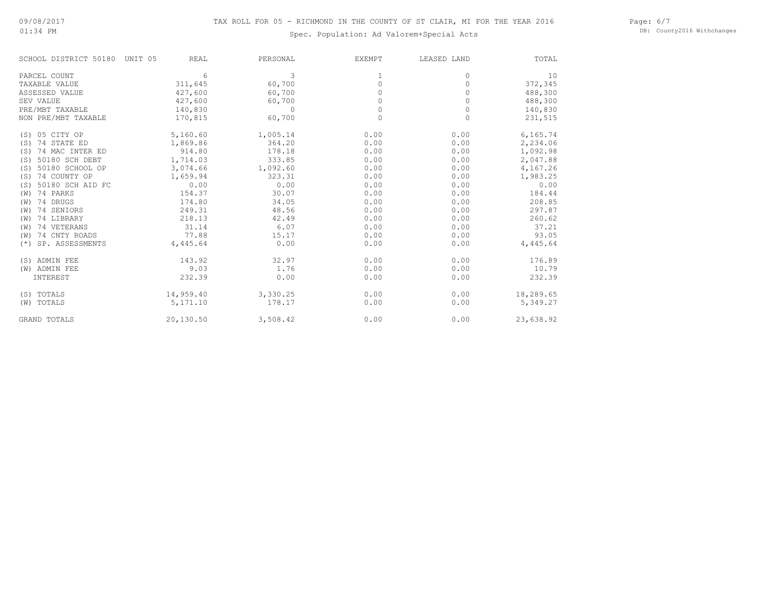Page: 6/7 DB: County2016 Withchanges

| SCHOOL DISTRICT 50180    | UNIT 05<br><b>REAL</b> | PERSONAL | <b>EXEMPT</b> | LEASED LAND | TOTAL     |
|--------------------------|------------------------|----------|---------------|-------------|-----------|
| PARCEL COUNT             | 6                      | 3        | 1             | $\Omega$    | 10        |
| TAXABLE VALUE            | 311,645                | 60,700   | 0             | 0           | 372,345   |
| ASSESSED VALUE           | 427,600                | 60,700   | <sup>0</sup>  | O           | 488,300   |
| SEV VALUE                | 427,600                | 60,700   | O             | 0           | 488,300   |
| PRE/MBT TAXABLE          | 140,830                | $\Omega$ | 0             | 0           | 140,830   |
| NON PRE/MBT TAXABLE      | 170,815                | 60,700   | $\Omega$      | $\Omega$    | 231,515   |
| (S) 05 CITY OP           | 5,160.60               | 1,005.14 | 0.00          | 0.00        | 6,165.74  |
| 74 STATE ED<br>(S)       | 1,869.86               | 364.20   | 0.00          | 0.00        | 2,234.06  |
| 74 MAC INTER ED<br>(S)   | 914.80                 | 178.18   | 0.00          | 0.00        | 1,092.98  |
| 50180 SCH DEBT<br>(S)    | 1,714.03               | 333.85   | 0.00          | 0.00        | 2,047.88  |
| 50180 SCHOOL OP<br>(S)   | 3,074.66               | 1,092.60 | 0.00          | 0.00        | 4,167.26  |
| 74 COUNTY OP<br>(S)      | 1,659.94               | 323.31   | 0.00          | 0.00        | 1,983.25  |
| 50180 SCH AID FC<br>(S)  | 0.00                   | 0.00     | 0.00          | 0.00        | 0.00      |
| 74 PARKS<br>(W)          | 154.37                 | 30.07    | 0.00          | 0.00        | 184.44    |
| 74 DRUGS<br>(W)          | 174.80                 | 34.05    | 0.00          | 0.00        | 208.85    |
| 74 SENIORS<br>(W)        | 249.31                 | 48.56    | 0.00          | 0.00        | 297.87    |
| 74 LIBRARY<br>(W)        | 218.13                 | 42.49    | 0.00          | 0.00        | 260.62    |
| 74 VETERANS<br>(W)       | 31.14                  | 6.07     | 0.00          | 0.00        | 37.21     |
| 74 CNTY ROADS<br>(W)     | 77.88                  | 15.17    | 0.00          | 0.00        | 93.05     |
| SP. ASSESSMENTS<br>$(*)$ | 4,445.64               | 0.00     | 0.00          | 0.00        | 4,445.64  |
| (S) ADMIN FEE            | 143.92                 | 32.97    | 0.00          | 0.00        | 176.89    |
| (W) ADMIN FEE            | 9.03                   | 1.76     | 0.00          | 0.00        | 10.79     |
| INTEREST                 | 232.39                 | 0.00     | 0.00          | 0.00        | 232.39    |
| (S) TOTALS               | 14,959.40              | 3,330.25 | 0.00          | 0.00        | 18,289.65 |
| TOTALS<br>(W)            | 5,171.10               | 178.17   | 0.00          | 0.00        | 5,349.27  |
| <b>GRAND TOTALS</b>      | 20,130.50              | 3,508.42 | 0.00          | 0.00        | 23,638.92 |